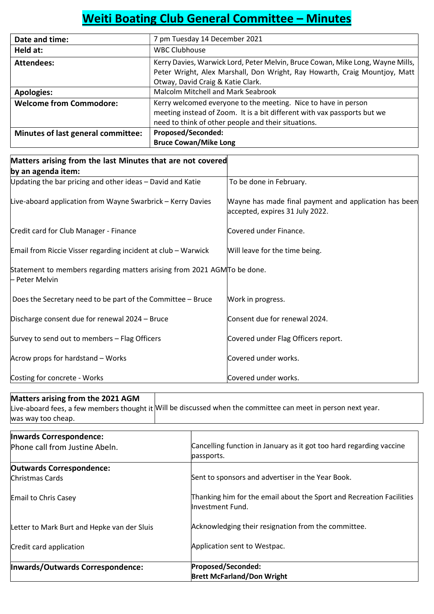# Weiti Boating Club General Committee – Minutes

| Date and time:                     | 7 pm Tuesday 14 December 2021                                                                                                                                                                     |
|------------------------------------|---------------------------------------------------------------------------------------------------------------------------------------------------------------------------------------------------|
| Held at:                           | <b>WBC Clubhouse</b>                                                                                                                                                                              |
| Attendees:                         | Kerry Davies, Warwick Lord, Peter Melvin, Bruce Cowan, Mike Long, Wayne Mills,<br>Peter Wright, Alex Marshall, Don Wright, Ray Howarth, Craig Mountjoy, Matt<br>Otway, David Craig & Katie Clark. |
| <b>Apologies:</b>                  | Malcolm Mitchell and Mark Seabrook                                                                                                                                                                |
| <b>Welcome from Commodore:</b>     | Kerry welcomed everyone to the meeting. Nice to have in person<br>meeting instead of Zoom. It is a bit different with vax passports but we<br>need to think of other people and their situations. |
| Minutes of last general committee: | <b>Proposed/Seconded:</b><br><b>Bruce Cowan/Mike Long</b>                                                                                                                                         |

| Matters arising from the last Minutes that are not covered                                |                                                                                          |
|-------------------------------------------------------------------------------------------|------------------------------------------------------------------------------------------|
| by an agenda item:                                                                        |                                                                                          |
| Updating the bar pricing and other ideas - David and Katie                                | To be done in February.                                                                  |
| Live-aboard application from Wayne Swarbrick - Kerry Davies                               | Wayne has made final payment and application has been<br>accepted, expires 31 July 2022. |
| Credit card for Club Manager - Finance                                                    | Covered under Finance.                                                                   |
| Email from Riccie Visser regarding incident at club - Warwick                             | Will leave for the time being.                                                           |
| Statement to members regarding matters arising from 2021 AGMTo be done.<br>- Peter Melvin |                                                                                          |
| Does the Secretary need to be part of the Committee - Bruce                               | Work in progress.                                                                        |
| Discharge consent due for renewal 2024 - Bruce                                            | Consent due for renewal 2024.                                                            |
| Survey to send out to members - Flag Officers                                             | Covered under Flag Officers report.                                                      |
| Acrow props for hardstand - Works                                                         | Covered under works.                                                                     |
| Costing for concrete - Works                                                              | Covered under works.                                                                     |

# Matters arising from the 2021 AGM

Live-aboard fees, a few members thought it Will be discussed when the committee can meet in person next year. was way too cheap.

| Inwards Correspondence:                     |                                                                                          |
|---------------------------------------------|------------------------------------------------------------------------------------------|
| Phone call from Justine Abeln.              | Cancelling function in January as it got too hard regarding vaccine<br>passports.        |
| <b>Outwards Correspondence:</b>             |                                                                                          |
| Christmas Cards                             | Sent to sponsors and advertiser in the Year Book.                                        |
| Email to Chris Casey                        | Thanking him for the email about the Sport and Recreation Facilities<br>Investment Fund. |
| Letter to Mark Burt and Hepke van der Sluis | Acknowledging their resignation from the committee.                                      |
| Credit card application                     | Application sent to Westpac.                                                             |
| Inwards/Outwards Correspondence:            | Proposed/Seconded:                                                                       |
|                                             | <b>Brett McFarland/Don Wright</b>                                                        |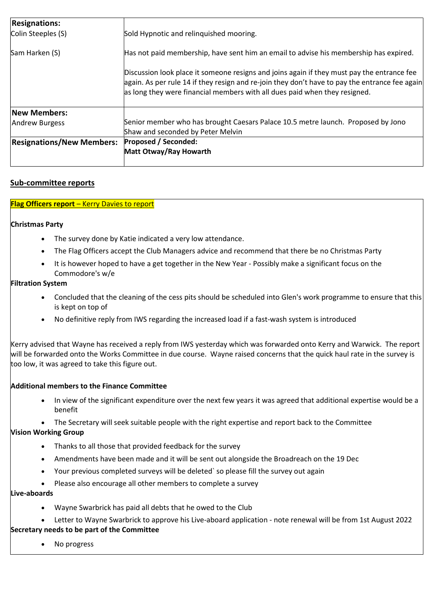| <b>Resignations:</b><br>Colin Steeples (S) | Sold Hypnotic and relinquished mooring.                                                                                                                                                                                                                                    |
|--------------------------------------------|----------------------------------------------------------------------------------------------------------------------------------------------------------------------------------------------------------------------------------------------------------------------------|
| Sam Harken (S)                             | Has not paid membership, have sent him an email to advise his membership has expired.                                                                                                                                                                                      |
|                                            | Discussion look place it someone resigns and joins again if they must pay the entrance fee<br>again. As per rule 14 if they resign and re-join they don't have to pay the entrance fee again<br>as long they were financial members with all dues paid when they resigned. |
| <b>New Members:</b>                        |                                                                                                                                                                                                                                                                            |
| Andrew Burgess                             | Senior member who has brought Caesars Palace 10.5 metre launch. Proposed by Jono<br>Shaw and seconded by Peter Melvin                                                                                                                                                      |
| <b>Resignations/New Members:</b>           | <b>Proposed / Seconded:</b><br>Matt Otway/Ray Howarth                                                                                                                                                                                                                      |

# Sub-committee reports

# Flag Officers report – Kerry Davies to report

# Christmas Party

- The survey done by Katie indicated a very low attendance.
- The Flag Officers accept the Club Managers advice and recommend that there be no Christmas Party
- It is however hoped to have a get together in the New Year Possibly make a significant focus on the Commodore's w/e

# Filtration System

- Concluded that the cleaning of the cess pits should be scheduled into Glen's work programme to ensure that this is kept on top of
- No definitive reply from IWS regarding the increased load if a fast-wash system is introduced

Kerry advised that Wayne has received a reply from IWS yesterday which was forwarded onto Kerry and Warwick. The report will be forwarded onto the Works Committee in due course. Wayne raised concerns that the quick haul rate in the survey is too low, it was agreed to take this figure out.

#### Additional members to the Finance Committee

- In view of the significant expenditure over the next few years it was agreed that additional expertise would be a benefit
- The Secretary will seek suitable people with the right expertise and report back to the Committee

# Vision Working Group

- Thanks to all those that provided feedback for the survey
- Amendments have been made and it will be sent out alongside the Broadreach on the 19 Dec
- Your previous completed surveys will be deleted` so please fill the survey out again
- Please also encourage all other members to complete a survey

# Live-aboards

- Wayne Swarbrick has paid all debts that he owed to the Club
- Letter to Wayne Swarbrick to approve his Live-aboard application note renewal will be from 1st August 2022 Secretary needs to be part of the Committee
	- No progress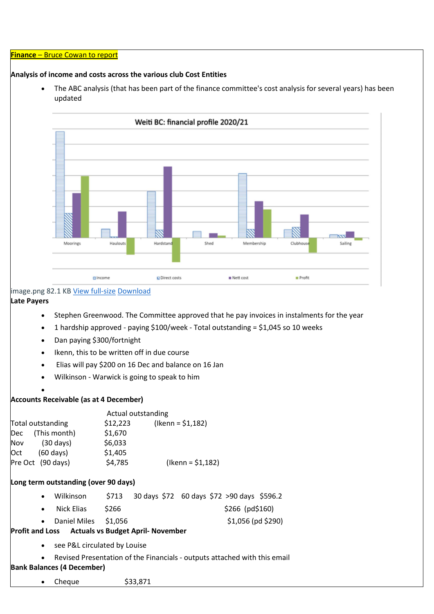#### Finance – Bruce Cowan to report

#### Analysis of income and costs across the various club Cost Entities

 The ABC analysis (that has been part of the finance committee's cost analysis for several years) has been updated



# image.png 82.1 KB View full-size Download

# Late Payers

- Stephen Greenwood. The Committee approved that he pay invoices in instalments for the year
- 1 hardship approved paying \$100/week Total outstanding = \$1,045 so 10 weeks
- Dan paying \$300/fortnight
- Ikenn, this to be written off in due course
- Elias will pay \$200 on 16 Dec and balance on 16 Jan
- Wilkinson Warwick is going to speak to him
- $\bullet$

#### Accounts Receivable (as at 4 December)

|     |                     | Actual outstanding |                         |
|-----|---------------------|--------------------|-------------------------|
|     | Total outstanding   | \$12,223           | $($ lkenn = \$1,182)    |
| Dec | (This month)        | \$1,670            |                         |
| Nov | (30 days)           | \$6,033            |                         |
| Oct | $(60 \text{ days})$ | \$1,405            |                         |
|     | Pre Oct (90 days)   | \$4,785            | $($ lkenn = \$1,182 $)$ |

#### Long term outstanding (over 90 days)

- Wilkinson \$713 30 days \$72 60 days \$72 >90 days \$596.2
- Nick Elias \$266 \$266 (pd\$160)
- Daniel Miles \$1,056 \$1,056 (pd \$290)

# Profit and Loss Actuals vs Budget April- November

- see P&L circulated by Louise
- Revised Presentation of the Financials outputs attached with this email

#### Bank Balances (4 December)

 $\bullet$  Cheque  $$33,871$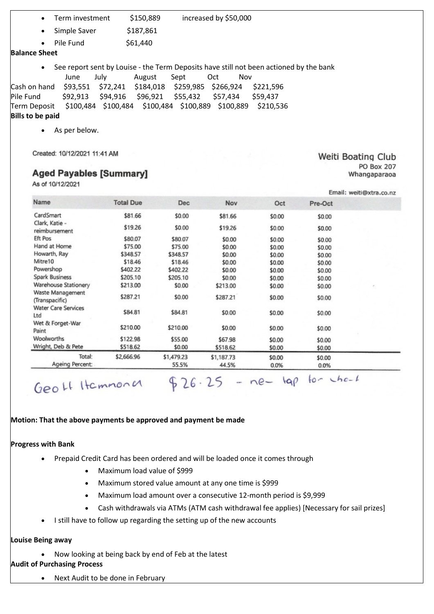- Term investment \$150,889 increased by \$50,000
- Simple Saver \$187,861

 $\bullet$  Pile Fund  $$61,440$ 

#### Balance Sheet

See report sent by Louise - the Term Deposits have still not been actioned by the bank

 June July August Sept Oct Nov Cash on hand \$93,551 \$72,241 \$184,018 \$259,985 \$266,924 \$221,596 Pile Fund \$92,913 \$94,916 \$96,921 \$55,432 \$57,434 \$59,437 Term Deposit \$100,484 \$100,484 \$100,484 \$100,889 \$100,889 \$210,536

# Bills to be paid

As per below.

Created: 10/12/2021 11:41 AM

# **Aged Payables [Summary]**

As of 10/12/2021

|                                    |                  |            |            |        |         | Email: weiti@xtra.co.nz |
|------------------------------------|------------------|------------|------------|--------|---------|-------------------------|
| Name                               | <b>Total Due</b> | <b>Dec</b> | <b>Nov</b> | Oct    | Pre-Oct |                         |
| CardSmart                          | \$81.66          | \$0.00     | \$81.66    | \$0.00 | \$0.00  |                         |
| Clark, Katie -<br>reimbursement    | \$19.26          | \$0.00     | \$19.26    | \$0.00 | \$0.00  |                         |
| <b>Eft Pos</b>                     | \$80.07          | \$80.07    | \$0.00     | \$0.00 | \$0.00  |                         |
| Hand at Home                       | \$75.00          | \$75.00    | \$0.00     | \$0.00 | \$0.00  |                         |
| Howarth, Ray                       | \$348.57         | \$348.57   | \$0.00     | \$0.00 | \$0.00  |                         |
| Mitre10                            | \$18.46          | \$18.46    | \$0.00     | \$0.00 | \$0.00  |                         |
| Powershop                          | \$402.22         | \$402.22   | \$0.00     | \$0.00 | \$0.00  |                         |
| Spark Business                     | \$205.10         | \$205.10   | \$0.00     | \$0.00 | \$0.00  |                         |
| Warehouse Stationery               | \$213.00         | \$0.00     | \$213.00   | \$0.00 | \$0.00  | ŗ.                      |
| Waste Management<br>(Transpacific) | \$287.21         | \$0.00     | \$287.21   | \$0.00 | \$0.00  |                         |
| <b>Water Care Services</b><br>Ltd  | \$84.81          | \$84.81    | \$0.00     | \$0.00 | \$0.00  |                         |
| Wet & Forget-War<br>Paint          | \$210.00         | \$210.00   | \$0.00     | \$0.00 | \$0.00  |                         |
| Woolworths                         | \$122.98         | \$55.00    | \$67.98    | \$0.00 | \$0.00  |                         |
| Wright, Deb & Pete                 | \$518.62         | \$0.00     | \$518.62   | \$0.00 | \$0.00  |                         |
| Total:                             | \$2,666.96       | \$1,479.23 | \$1,187.73 | \$0.00 | \$0.00  |                         |
| Ageing Percent:                    |                  | 55.5%      | 44.5%      | 0.0%   | 0.0%    |                         |

# Geo Lt Itemmona  $$26.25 - ne-$  kap to the

# Motion: That the above payments be approved and payment be made

#### Progress with Bank

- Prepaid Credit Card has been ordered and will be loaded once it comes through
	- Maximum load value of \$999
	- Maximum stored value amount at any one time is \$999
	- Maximum load amount over a consecutive 12-month period is \$9,999
	- Cash withdrawals via ATMs (ATM cash withdrawal fee applies) [Necessary for sail prizes]
- I still have to follow up regarding the setting up of the new accounts

#### Louise Being away

Now looking at being back by end of Feb at the latest

# Audit of Purchasing Process

• Next Audit to be done in February

Weiti Boating Club **PO Box 207** Whangaparaoa